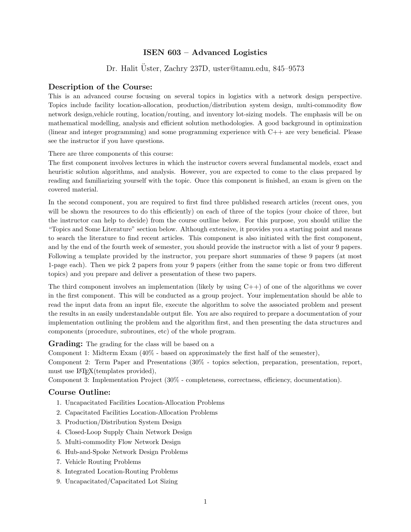## ISEN 603 – Advanced Logistics

Dr. Halit Uster, Zachry 237D, uster@tamu.edu, 845–9573

## Description of the Course:

This is an advanced course focusing on several topics in logistics with a network design perspective. Topics include facility location-allocation, production/distribution system design, multi-commodity flow network design,vehicle routing, location/routing, and inventory lot-sizing models. The emphasis will be on mathematical modelling, analysis and efficient solution methodologies. A good background in optimization (linear and integer programming) and some programming experience with C++ are very beneficial. Please see the instructor if you have questions.

There are three components of this course:

The first component involves lectures in which the instructor covers several fundamental models, exact and heuristic solution algorithms, and analysis. However, you are expected to come to the class prepared by reading and familiarizing yourself with the topic. Once this component is finished, an exam is given on the covered material.

In the second component, you are required to first find three published research articles (recent ones, you will be shown the resources to do this efficiently) on each of three of the topics (your choice of three, but the instructor can help to decide) from the course outline below. For this purpose, you should utilize the "Topics and Some Literature" section below. Although extensive, it provides you a starting point and means to search the literature to find recent articles. This component is also initiated with the first component, and by the end of the fourth week of semester, you should provide the instructor with a list of your 9 papers. Following a template provided by the instructor, you prepare short summaries of these 9 papers (at most 1-page each). Then we pick 2 papers from your 9 papers (either from the same topic or from two different topics) and you prepare and deliver a presentation of these two papers.

The third component involves an implementation (likely by using  $C_{++}$ ) of one of the algorithms we cover in the first component. This will be conducted as a group project. Your implementation should be able to read the input data from an input file, execute the algorithm to solve the associated problem and present the results in an easily understandable output file. You are also required to prepare a documentation of your implementation outlining the problem and the algorithm first, and then presenting the data structures and components (procedure, subroutines, etc) of the whole program.

Grading: The grading for the class will be based on a

Component 1: Midterm Exam (40% - based on approximately the first half of the semester),

Component 2: Term Paper and Presentations (30% - topics selection, preparation, presentation, report, must use  $\text{LFTFX}(templates provided),$ 

Component 3: Implementation Project (30% - completeness, correctness, efficiency, documentation).

## Course Outline:

- 1. Uncapacitated Facilities Location-Allocation Problems
- 2. Capacitated Facilities Location-Allocation Problems
- 3. Production/Distribution System Design
- 4. Closed-Loop Supply Chain Network Design
- 5. Multi-commodity Flow Network Design
- 6. Hub-and-Spoke Network Design Problems
- 7. Vehicle Routing Problems
- 8. Integrated Location-Routing Problems
- 9. Uncapacitated/Capacitated Lot Sizing